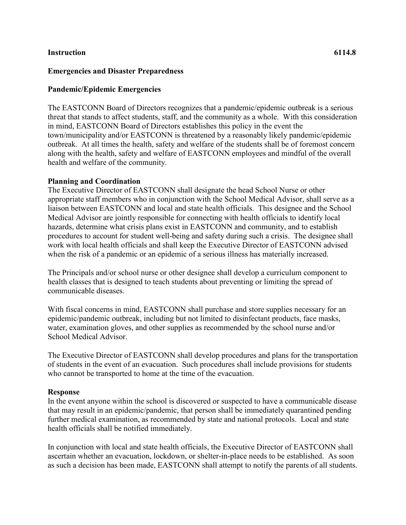## **Instruction 6114.8**

## **Emergencies and Disaster Preparedness**

## **Pandemic/Epidemic Emergencies**

The EASTCONN Board of Directors recognizes that a pandemic/epidemic outbreak is a serious threat that stands to affect students, staff, and the community as a whole. With this consideration in mind, EASTCONN Board of Directors establishes this policy in the event the town/municipality and/or EASTCONN is threatened by a reasonably likely pandemic/epidemic outbreak. At all times the health, safety and welfare of the students shall be of foremost concern along with the health, safety and welfare of EASTCONN employees and mindful of the overall health and welfare of the community.

### **Planning and Coordination**

The Executive Director of EASTCONN shall designate the head School Nurse or other appropriate staff members who in conjunction with the School Medical Advisor, shall serve as a liaison between EASTCONN and local and state health officials. This designee and the School Medical Advisor are jointly responsible for connecting with health officials to identify local hazards, determine what crisis plans exist in EASTCONN and community, and to establish procedures to account for student well-being and safety during such a crisis. The designee shall work with local health officials and shall keep the Executive Director of EASTCONN advised when the risk of a pandemic or an epidemic of a serious illness has materially increased.

The Principals and/or school nurse or other designee shall develop a curriculum component to health classes that is designed to teach students about preventing or limiting the spread of communicable diseases.

With fiscal concerns in mind, EASTCONN shall purchase and store supplies necessary for an epidemic/pandemic outbreak, including but not limited to disinfectant products, face masks, water, examination gloves, and other supplies as recommended by the school nurse and/or School Medical Advisor.

The Executive Director of EASTCONN shall develop procedures and plans for the transportation of students in the event of an evacuation. Such procedures shall include provisions for students who cannot be transported to home at the time of the evacuation.

#### **Response**

In the event anyone within the school is discovered or suspected to have a communicable disease that may result in an epidemic/pandemic, that person shall be immediately quarantined pending further medical examination, as recommended by state and national protocols. Local and state health officials shall be notified immediately.

In conjunction with local and state health officials, the Executive Director of EASTCONN shall ascertain whether an evacuation, lockdown, or shelter-in-place needs to be established. As soon as such a decision has been made, EASTCONN shall attempt to notify the parents of all students.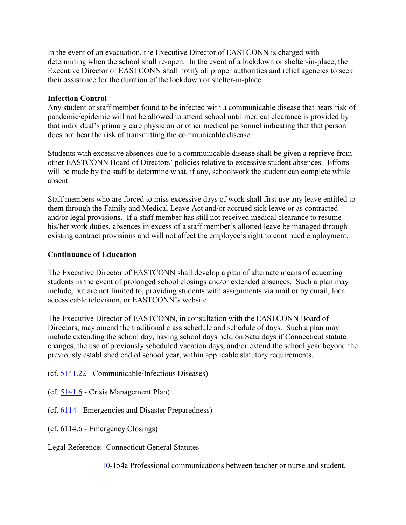In the event of an evacuation, the Executive Director of EASTCONN is charged with determining when the school shall re-open. In the event of a lockdown or shelter-in-place, the Executive Director of EASTCONN shall notify all proper authorities and relief agencies to seek their assistance for the duration of the lockdown or shelter-in-place.

# **Infection Control**

Any student or staff member found to be infected with a communicable disease that bears risk of pandemic/epidemic will not be allowed to attend school until medical clearance is provided by that individual's primary care physician or other medical personnel indicating that that person does not bear the risk of transmitting the communicable disease.

Students with excessive absences due to a communicable disease shall be given a reprieve from other EASTCONN Board of Directors' policies relative to excessive student absences. Efforts will be made by the staff to determine what, if any, schoolwork the student can complete while absent.

Staff members who are forced to miss excessive days of work shall first use any leave entitled to them through the Family and Medical Leave Act and/or accrued sick leave or as contracted and/or legal provisions. If a staff member has still not received medical clearance to resume his/her work duties, absences in excess of a staff member's allotted leave be managed through existing contract provisions and will not affect the employee's right to continued employment.

## **Continuance of Education**

The Executive Director of EASTCONN shall develop a plan of alternate means of educating students in the event of prolonged school closings and/or extended absences. Such a plan may include, but are not limited to, providing students with assignments via mail or by email, local access cable television, or EASTCONN's website.

The Executive Director of EASTCONN, in consultation with the EASTCONN Board of Directors, may amend the traditional class schedule and schedule of days. Such a plan may include extending the school day, having school days held on Saturdays if Connecticut statute changes, the use of previously scheduled vacation days, and/or extend the school year beyond the previously established end of school year, within applicable statutory requirements.

(cf. [5141.22](http://z2policy.cabe.org/cabe/DocViewer.jsp?docid=298&z2collection=core#JD_5141.22) - Communicable/Infectious Diseases)

(cf. [5141.6](http://z2policy.cabe.org/cabe/DocViewer.jsp?docid=305&z2collection=core#JD_5141.6) - Crisis Management Plan)

(cf. [6114](http://z2policy.cabe.org/cabe/DocViewer.jsp?docid=352&z2collection=core#JD_6114) - Emergencies and Disaster Preparedness)

(cf. 6114.6 - Emergency Closings)

Legal Reference: Connecticut General Statutes

[10-](http://www.cga.ct.gov/2011/pub/Title10.htm)154a Professional communications between teacher or nurse and student.